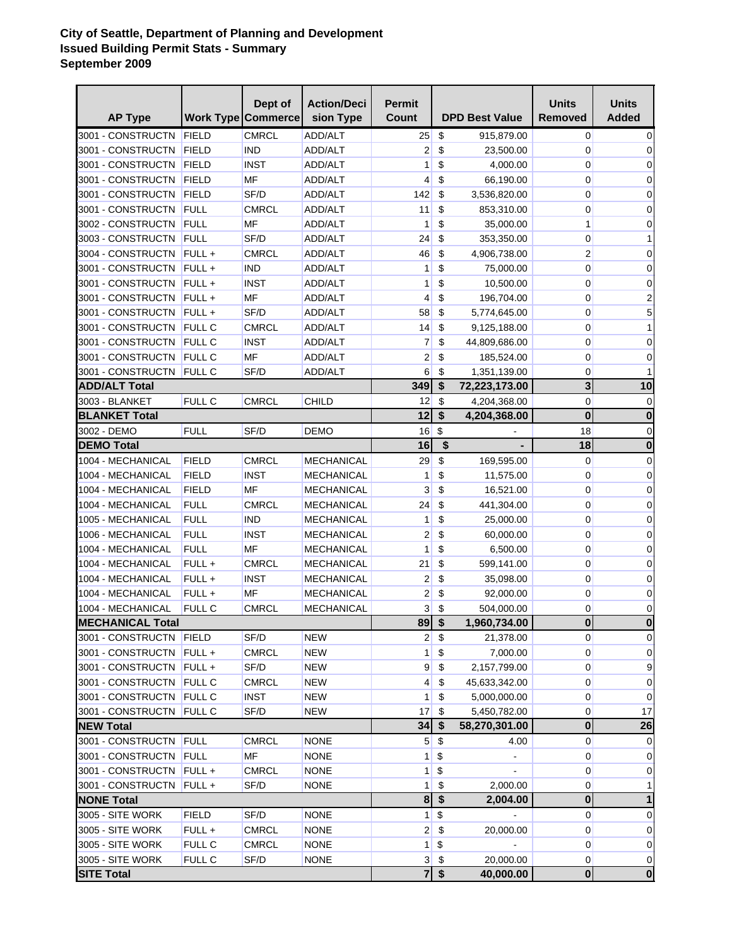## **City of Seattle, Department of Planning and Development Issued Building Permit Stats - Summary September 2009**

| <b>AP Type</b>           |               | Dept of<br><b>Work Type Commerce</b> | <b>Action/Deci</b><br>sion Type | <b>Permit</b><br>Count |                           | <b>DPD Best Value</b> | <b>Units</b><br><b>Removed</b> | <b>Units</b><br><b>Added</b> |
|--------------------------|---------------|--------------------------------------|---------------------------------|------------------------|---------------------------|-----------------------|--------------------------------|------------------------------|
| 3001 - CONSTRUCTN        | FIELD         | <b>CMRCL</b>                         | ADD/ALT                         | 25                     | \$                        | 915,879.00            | $\overline{0}$                 | 0                            |
| 3001 - CONSTRUCTN        | FIELD         | <b>IND</b>                           | <b>ADD/ALT</b>                  | $\overline{2}$         | \$                        | 23,500.00             | 0                              | 0                            |
| 3001 - CONSTRUCTN        | FIELD         | <b>INST</b>                          | ADD/ALT                         | 1                      | \$                        | 4,000.00              | 0                              | 0                            |
| 3001 - CONSTRUCTN        | FIELD         | MF                                   | ADD/ALT                         | 4                      | \$                        | 66,190.00             | 0                              | 0                            |
| 3001 - CONSTRUCTN        | FIELD         | SF/D                                 | ADD/ALT                         | 142                    | \$                        | 3,536,820.00          | 0                              | 0                            |
| 3001 - CONSTRUCTN        | FULL          | <b>CMRCL</b>                         | ADD/ALT                         | 11                     | \$                        | 853,310.00            | 0                              | 0                            |
| 3002 - CONSTRUCTN        | <b>FULL</b>   | MF                                   | ADD/ALT                         | 1                      | \$                        | 35,000.00             | 1                              | 0                            |
| 3003 - CONSTRUCTN        | FULL          | SF/D                                 | ADD/ALT                         | 24                     | \$                        | 353,350.00            | 0                              | 1                            |
| 3004 - CONSTRUCTN        | $FULL +$      | CMRCL                                | ADD/ALT                         | 46                     | \$                        | 4,906,738.00          | 2                              | 0                            |
| 3001 - CONSTRUCTN        | $FULL +$      | <b>IND</b>                           | ADD/ALT                         | 1                      | \$                        | 75,000.00             | 0                              | 0                            |
| 3001 - CONSTRUCTN        | FULL+         | <b>INST</b>                          | ADD/ALT                         | 1                      | \$                        | 10,500.00             | 0                              | 0                            |
| 3001 - CONSTRUCTN        | FULL+         | MF                                   | ADD/ALT                         | 4                      | \$                        | 196,704.00            | 0                              | $\overline{\mathbf{c}}$      |
| 3001 - CONSTRUCTN        | $FULL +$      | SF/D                                 | ADD/ALT                         | 58                     | \$                        | 5,774,645.00          | 0                              | 5                            |
| 3001 - CONSTRUCTN        | <b>FULL C</b> | <b>CMRCL</b>                         | ADD/ALT                         | 14                     | \$                        | 9,125,188.00          | 0                              | 1                            |
| 3001 - CONSTRUCTN        | <b>FULL C</b> | <b>INST</b>                          | ADD/ALT                         | 7                      | \$                        | 44,809,686.00         | 0                              | 0                            |
| 3001 - CONSTRUCTN        | <b>FULL C</b> | MF                                   | ADD/ALT                         | 2                      | \$                        | 185,524.00            | 0                              | 0                            |
| 3001 - CONSTRUCTN        | <b>FULL C</b> | SF/D                                 | ADD/ALT                         | 6                      | \$                        | 1,351,139.00          | 0                              | 1                            |
| <b>ADD/ALT Total</b>     |               |                                      |                                 | 349                    | \$                        | 72,223,173.00         | $\overline{\mathbf{3}}$        | 10                           |
| 3003 - BLANKET           | FULL C        | <b>CMRCL</b>                         | CHILD                           | 12                     | \$                        | 4,204,368.00          | 0                              | 0                            |
| <b>BLANKET Total</b>     |               |                                      |                                 | 12                     | \$                        | 4,204,368.00          | $\bf{0}$                       | $\bf{0}$                     |
| 3002 - DEMO              | <b>FULL</b>   | SF/D                                 | DEMO                            | 16                     | \$                        |                       | 18                             | $\mathbf 0$                  |
| <b>DEMO Total</b>        |               |                                      |                                 | 16                     | \$                        |                       | 18                             | $\bf{0}$                     |
| 1004 - MECHANICAL        | <b>FIELD</b>  | <b>CMRCL</b>                         | MECHANICAL                      | 29                     | \$                        | 169,595.00            | 0                              | 0                            |
| 1004 - MECHANICAL        | FIELD         | INST                                 | <b>MECHANICAL</b>               | 1                      | \$                        | 11,575.00             | 0                              | 0                            |
| 1004 - MECHANICAL        | FIELD         | MF                                   | MECHANICAL                      | 3                      | \$                        | 16,521.00             | 0                              | 0                            |
| 1004 - MECHANICAL        | <b>FULL</b>   | <b>CMRCL</b>                         | <b>MECHANICAL</b>               | 24                     | \$                        | 441,304.00            | 0                              | 0                            |
| 1005 - MECHANICAL        | <b>FULL</b>   | <b>IND</b>                           | <b>MECHANICAL</b>               | 1                      | \$                        | 25,000.00             | 0                              | 0                            |
| 1006 - MECHANICAL        | <b>FULL</b>   | <b>INST</b>                          | <b>MECHANICAL</b>               | 2                      | \$                        | 60,000.00             | 0                              | 0                            |
| 1004 - MECHANICAL        | <b>FULL</b>   | MF                                   | <b>MECHANICAL</b>               | 1                      | \$                        | 6,500.00              | 0                              | 0                            |
| 1004 - MECHANICAL        | FULL+         | <b>CMRCL</b>                         | <b>MECHANICAL</b>               | 21                     | \$                        | 599,141.00            | 0                              | $\pmb{0}$                    |
| 1004 - MECHANICAL        | FULL+         | <b>INST</b>                          | <b>MECHANICAL</b>               | $\overline{2}$         | \$                        | 35,098.00             | 0                              | 0                            |
| 1004 - MECHANICAL        | FULL+         | MF                                   | <b>MECHANICAL</b>               | 2                      | \$                        | 92,000.00             | 0                              | 0                            |
| 1004 - MECHANICAL        | FULL C        | <b>CMRCL</b>                         | <b>MECHANICAL</b>               | 3                      | \$                        | 504,000.00            | 0                              | 0                            |
| <b>MECHANICAL Total</b>  |               |                                      |                                 | $89 \, \sqrt{5}$       |                           | 1,960,734.00          | $\overline{\mathbf{0}}$        | $\Omega$                     |
| 3001 - CONSTRUCTN FIELD  |               | SF/D                                 | NEW                             | $\overline{2}$         | \$                        | 21,378.00             | 0                              | 0                            |
| 3001 - CONSTRUCTN FULL + |               | <b>CMRCL</b>                         | <b>NEW</b>                      | 1                      | \$                        | 7,000.00              | 0                              | $\mathbf 0$                  |
| 3001 - CONSTRUCTN FULL + |               | SF/D                                 | <b>NEW</b>                      | $\overline{9}$         | \$                        | 2,157,799.00          | 0                              | $\mathsf 9$                  |
| 3001 - CONSTRUCTN FULL C |               | <b>CMRCL</b>                         | <b>NEW</b>                      | 4                      | \$                        | 45,633,342.00         | 0                              | $\pmb{0}$                    |
| 3001 - CONSTRUCTN FULL C |               | <b>INST</b>                          | <b>NEW</b>                      | 1                      | \$                        | 5,000,000.00          | 0                              | 0                            |
| 3001 - CONSTRUCTN FULL C |               | SF/D                                 | <b>NEW</b>                      | 17                     | \$                        | 5,450,782.00          | 0                              | 17                           |
| <b>NEW Total</b>         |               |                                      |                                 | 34                     | \$                        | 58,270,301.00         | $\pmb{0}$                      | 26                           |
| 3001 - CONSTRUCTN FULL   |               | <b>CMRCL</b>                         | <b>NONE</b>                     | 5 <sup>1</sup>         | \$                        | 4.00                  | $\overline{0}$                 | 0                            |
| 3001 - CONSTRUCTN FULL   |               | <b>MF</b>                            | <b>NONE</b>                     | 1                      | \$                        |                       | 0                              | $\overline{0}$               |
| 3001 - CONSTRUCTN FULL + |               | <b>CMRCL</b>                         | <b>NONE</b>                     | 1                      | \$                        |                       | 0                              | $\pmb{0}$                    |
| 3001 - CONSTRUCTN FULL + |               | SF/D                                 | <b>NONE</b>                     | 1                      | \$                        | 2,000.00              | 0                              | 1                            |
| <b>NONE Total</b>        |               |                                      |                                 | 8                      | \$                        | 2,004.00              | $\overline{\mathbf{0}}$        | 1                            |
| 3005 - SITE WORK         | <b>FIELD</b>  | SF/D                                 | <b>NONE</b>                     | 1                      | $\boldsymbol{\mathsf{S}}$ | $\blacksquare$        | $\overline{0}$                 | $\pmb{0}$                    |
| 3005 - SITE WORK         | FULL+         | <b>CMRCL</b>                         | <b>NONE</b>                     | 2                      | $\boldsymbol{\mathsf{S}}$ | 20,000.00             | 0                              | $\mathbf 0$                  |
| 3005 - SITE WORK         | FULL C        | <b>CMRCL</b>                         | <b>NONE</b>                     | 1                      | \$                        |                       | 0                              | $\pmb{0}$                    |
| 3005 - SITE WORK         | <b>FULL C</b> | SF/D                                 | <b>NONE</b>                     | $\mathbf{3}$           | \$                        | 20,000.00             | 0                              | $\pmb{0}$                    |
| <b>SITE Total</b>        |               |                                      |                                 | 7 <sup>1</sup>         | \$                        | 40,000.00             | $\overline{\mathbf{0}}$        | $\boldsymbol{0}$             |